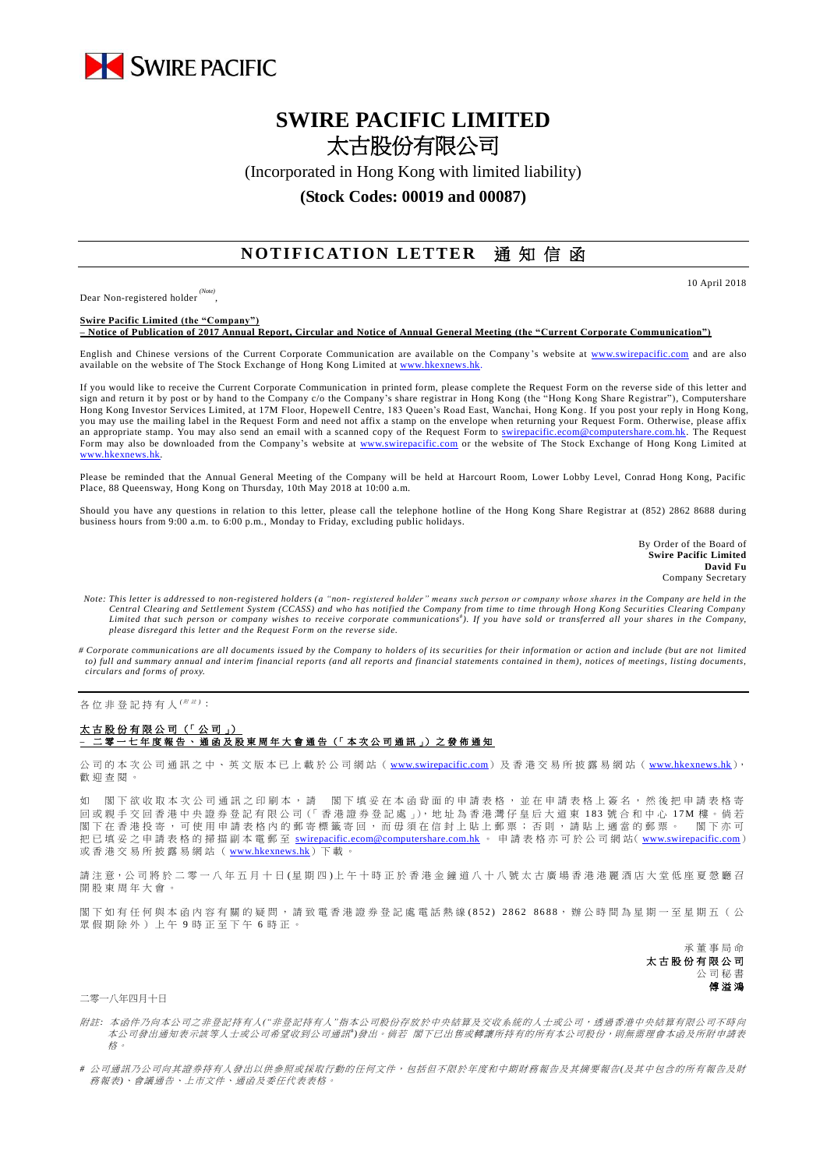

## **SWIRE PACIFIC LIMITED** 太古股份有限公司

(Incorporated in Hong Kong with limited liability)

## **(Stock Codes: 00019 and 00087)**

## **NOTIFICATION LETTER** 通知信函

Dear Non-registered holder *(Note)* , 10 April 2018

**Swire Pacific Limited (the "Company") – Notice of Publication of 2017 Annual Report, Circular and Notice of Annual General Meeting (the "Current Corporate Communication")**

English and Chinese versions of the Current Corporate Communication are available on the Company's website at [www.swirepacific.com](http://www.swirepacific.com/) and are also available on the website of The Stock Exchange of Hong Kong Limited at [www.hkexnews.hk.](http://www.hkexnews.hk/)

If you would like to receive the Current Corporate Communication in printed form, please complete the Request Form on the reverse side of this letter and sign and return it by post or by hand to the Company c/o the Company's share registrar in Hong Kong (the "Hong Kong Share Registrar"), Computershare Hong Kong Investor Services Limited, at 17M Floor, Hopewell Centre, 183 Queen's Road East, Wanchai, Hong Kong. If you post your reply in Hong Kong, you may use the mailing label in the Request Form and need not affix a stamp on the envelope when returning your Request Form. Otherwise, please affix an appropriate stamp. You may also send an email with a scanned copy of the Request Form to [swirepacific.ecom@computershare.com.hk.](mailto:swirepacific.ecom@computershare.com.hk) The Request Form may also be downloaded from the Company's website at [www.swirepacific.com](http://www.swirepacific.com/) or the website of The Stock Exchange of Hong Kong Limited at [www.hkexnews.hk.](http://www.hkexnews.hk/)

Please be reminded that the Annual General Meeting of the Company will be held at Harcourt Room, Lower Lobby Level, Conrad Hong Kong, Pacific Place, 88 Queensway, Hong Kong on Thursday, 10th May 2018 at 10:00 a.m.

Should you have any questions in relation to this letter, please call the telephone hotline of the Hong Kong Share Registrar at (852) 2862 8688 during business hours from 9:00 a.m. to 6:00 p.m., Monday to Friday, excluding public holidays.

> By Order of the Board of **Swire Pacific Limited David Fu** Company Secretary

- *Note: This letter is addressed to non-registered holders (a "non- registered holder" means such person or company whose shares in the Company are held in the*  Central Clearing and Settlement System (CCASS) and who has notified the Company from time to time through Hong Kong Securities Clearing Company<br>Limited that such person or company wishes to receive corporate communications *please disregard this letter and the Request Form on the reverse side.*
- *# Corporate communications are all documents issued by the Company to holders of its securities for their information or action and include (but are not limited to) full and summary annual and interim financial reports (and all reports and financial statements contained in them), notices of meetings, listing documents, circulars and forms of proxy.*

各位非登記持有人<sup>( \|||||||||||||</sup>

## 太古股份有限公司 (「公司」) **–** 二零一 七 年度報告 、通函 及 股 東 周 年 大 會 通 告 (「 本 次 公 司 通 訊 」) 之 發 佈 通 知

公司的本次公司通訊之中、英文版本已上載於公司網站 ([www.swirepacific.com](http://www.swirepacific.com/)) 及香港交易所披露易網站 ([www.hkexnews.hk](http://www.hkexnews.hk/)), 歡 迎 查閱。

如 閣下欲收取本次公司通訊之印刷本,請 閣下填妥在本函背面的申請表格,並在申請表格上簽名,然後把申請表格寄 回 或親手交回 香 港 中 央 證 券 登 記 有 限 公 司(「 香 港 證 券 登 記 處 」), 地 址 為 香 港 灣 仔 皇 后 大 道 東 1 8 3 號合和中心 1 7 M 樓 。 倘 若 閣下在香港投寄,可使用申請表格內的郵寄標籤寄回,而毋須在信封上貼上郵票;否則,請貼上適當的郵票。 閣下亦可 把已填妥之申請表格的掃描副本電郵至 [swirepacific.ecom@computershare.com.hk](mailto:swirepacific.ecom@computershare.com.hk) 。 申請表格亦可於公司網站( [www.swirepacific.com](http://www.swirepacific.com/)) 或香港交易所披露易網站 ( [www.hkexnews.hk](http://www.hkexnews.hk/)) 下載

請注意,公司將於二零一八年五月十日(星期四)上午十時正於香港金鐘道八十八號太古廣場香港港麗酒店大堂低座夏愨廳召 開股東周年大會

閣下如有任何與本函內容有關的疑問,請致電香港證券登記處電話熱線(852) 2862 8688,辦公時間為星期一至星期五(公 眾假期除外)上午 9 時正至下午 6 時正。

> 承董事 局 命 太古股份有限公司 公司秘書 傅溢鴻

二零一八年四月十日

- 附註*:* 本函件乃向本公司之非登記持有人*("*非登記持有人*"*指本公司股份存放於中央結算及交收系統的人士或公司,透過香港中央結算有限公司不時向 本公司發出通知表示該等人士或公司希望收到公司通訊<sup>+</sup>)發出。 倘若 閣下已出售或轉讓所持有的所有本公司股份,則無需理會本函及所附申請表 格。
- *#* 公司通訊乃公司向其證券持有人發出以供參照或採取行動的任何文件,包括但不限於年度和中期財務報告及其摘要報告*(*及其中包含的所有報告及財 務報表*)*、會議通告、上市文件、通函及委任代表表格。